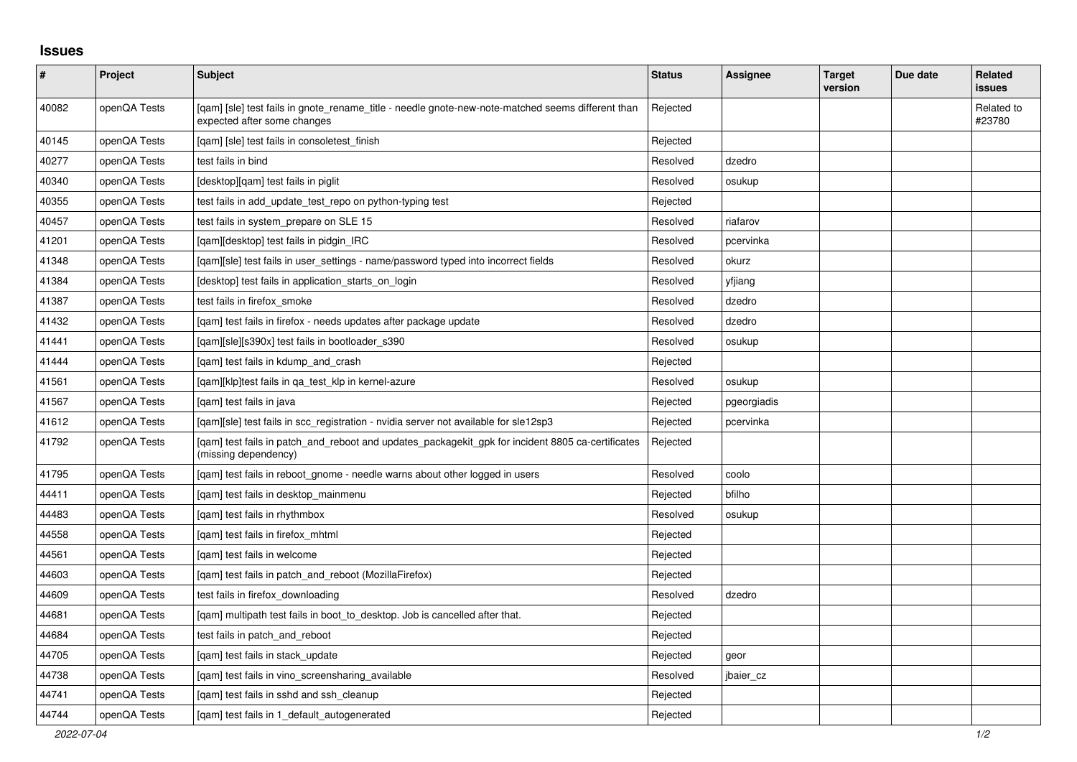## **Issues**

| $\vert$ # | Project      | <b>Subject</b>                                                                                                                   | <b>Status</b> | Assignee    | <b>Target</b><br>version | Due date | Related<br><b>issues</b> |
|-----------|--------------|----------------------------------------------------------------------------------------------------------------------------------|---------------|-------------|--------------------------|----------|--------------------------|
| 40082     | openQA Tests | [gam] [sle] test fails in gnote rename title - needle gnote-new-note-matched seems different than<br>expected after some changes | Rejected      |             |                          |          | Related to<br>#23780     |
| 40145     | openQA Tests | [qam] [sle] test fails in consoletest_finish                                                                                     | Rejected      |             |                          |          |                          |
| 40277     | openQA Tests | test fails in bind                                                                                                               | Resolved      | dzedro      |                          |          |                          |
| 40340     | openQA Tests | [desktop][qam] test fails in piglit                                                                                              | Resolved      | osukup      |                          |          |                          |
| 40355     | openQA Tests | test fails in add_update_test_repo on python-typing test                                                                         | Rejected      |             |                          |          |                          |
| 40457     | openQA Tests | test fails in system_prepare on SLE 15                                                                                           | Resolved      | riafarov    |                          |          |                          |
| 41201     | openQA Tests | [qam][desktop] test fails in pidgin_IRC                                                                                          | Resolved      | pcervinka   |                          |          |                          |
| 41348     | openQA Tests | [gam][sle] test fails in user settings - name/password typed into incorrect fields                                               | Resolved      | okurz       |                          |          |                          |
| 41384     | openQA Tests | [desktop] test fails in application starts on login                                                                              | Resolved      | yfjiang     |                          |          |                          |
| 41387     | openQA Tests | test fails in firefox_smoke                                                                                                      | Resolved      | dzedro      |                          |          |                          |
| 41432     | openQA Tests | [gam] test fails in firefox - needs updates after package update                                                                 | Resolved      | dzedro      |                          |          |                          |
| 41441     | openQA Tests | [qam][sle][s390x] test fails in bootloader_s390                                                                                  | Resolved      | osukup      |                          |          |                          |
| 41444     | openQA Tests | [qam] test fails in kdump_and_crash                                                                                              | Rejected      |             |                          |          |                          |
| 41561     | openQA Tests | [gam][klp]test fails in ga test klp in kernel-azure                                                                              | Resolved      | osukup      |                          |          |                          |
| 41567     | openQA Tests | [qam] test fails in java                                                                                                         | Rejected      | pgeorgiadis |                          |          |                          |
| 41612     | openQA Tests | [gam][sle] test fails in scc registration - nvidia server not available for sle12sp3                                             | Rejected      | pcervinka   |                          |          |                          |
| 41792     | openQA Tests | [gam] test fails in patch_and_reboot and updates_packagekit_gpk for incident 8805 ca-certificates<br>(missing dependency)        | Rejected      |             |                          |          |                          |
| 41795     | openQA Tests | [qam] test fails in reboot_gnome - needle warns about other logged in users                                                      | Resolved      | coolo       |                          |          |                          |
| 44411     | openQA Tests | [qam] test fails in desktop_mainmenu                                                                                             | Rejected      | bfilho      |                          |          |                          |
| 44483     | openQA Tests | [gam] test fails in rhythmbox                                                                                                    | Resolved      | osukup      |                          |          |                          |
| 44558     | openQA Tests | [gam] test fails in firefox mhtml                                                                                                | Rejected      |             |                          |          |                          |
| 44561     | openQA Tests | [gam] test fails in welcome                                                                                                      | Rejected      |             |                          |          |                          |
| 44603     | openQA Tests | [qam] test fails in patch_and_reboot (MozillaFirefox)                                                                            | Rejected      |             |                          |          |                          |
| 44609     | openQA Tests | test fails in firefox downloading                                                                                                | Resolved      | dzedro      |                          |          |                          |
| 44681     | openQA Tests | [qam] multipath test fails in boot_to_desktop. Job is cancelled after that.                                                      | Rejected      |             |                          |          |                          |
| 44684     | openQA Tests | test fails in patch and reboot                                                                                                   | Rejected      |             |                          |          |                          |
| 44705     | openQA Tests | [qam] test fails in stack_update                                                                                                 | Rejected      | geor        |                          |          |                          |
| 44738     | openQA Tests | [qam] test fails in vino_screensharing_available                                                                                 | Resolved      | jbaier_cz   |                          |          |                          |
| 44741     | openQA Tests | [gam] test fails in sshd and ssh cleanup                                                                                         | Rejected      |             |                          |          |                          |
| 44744     | openQA Tests | [gam] test fails in 1 default autogenerated                                                                                      | Rejected      |             |                          |          |                          |